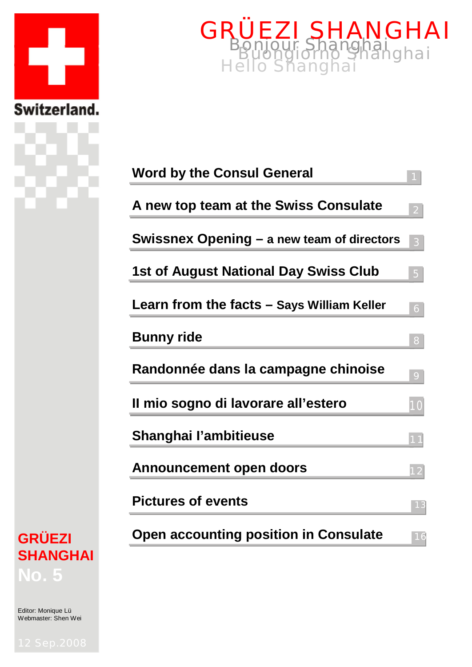



| <b>Word by the Consul General</b>            |                |
|----------------------------------------------|----------------|
| A new top team at the Swiss Consulate        |                |
| Swissnex Opening - a new team of directors   | $\overline{3}$ |
| 1st of August National Day Swiss Club        | 5              |
| Learn from the facts – Says William Keller   | $\overline{6}$ |
| <b>Bunny ride</b>                            | 8              |
| Randonnée dans la campagne chinoise          | 9              |
| Il mio sogno di lavorare all'estero          | 10             |
| Shanghai l'ambitieuse                        |                |
| <b>Announcement open doors</b>               | 12             |
| <b>Pictures of events</b>                    | 13             |
| <b>Open accounting position in Consulate</b> | 16             |

Editor: Monique Lü Webmaster: Shen Wei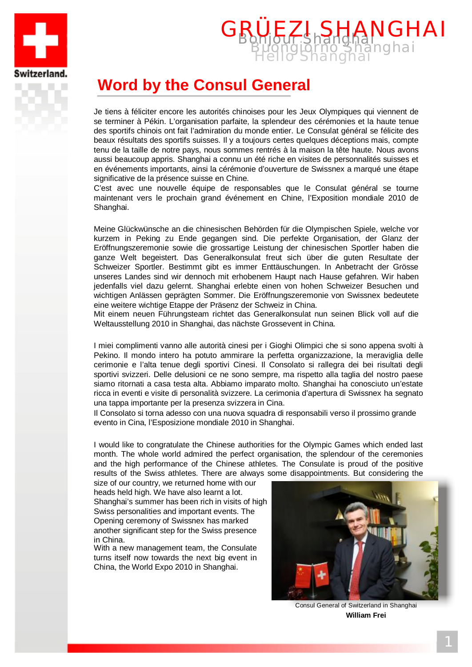



## **Word by the Consul General**

Je tiens à féliciter encore les autorités chinoises pour les Jeux Olympiques qui viennent de se terminer à Pékin. L'organisation parfaite, la splendeur des cérémonies et la haute tenue des sportifs chinois ont fait l'admiration du monde entier. Le Consulat général se félicite des beaux résultats des sportifs suisses. Il y a toujours certes quelques déceptions mais, compte tenu de la taille de notre pays, nous sommes rentrés à la maison la tête haute. Nous avons aussi beaucoup appris. Shanghai a connu un été riche en visites de personnalités suisses et en événements importants, ainsi la cérémonie d'ouverture de Swissnex a marqué une étape significative de la présence suisse en Chine.

C'est avec une nouvelle équipe de responsables que le Consulat général se tourne maintenant vers le prochain grand événement en Chine, l'Exposition mondiale 2010 de Shanghai.

Meine Glückwünsche an die chinesischen Behörden für die Olympischen Spiele, welche vor kurzem in Peking zu Ende gegangen sind. Die perfekte Organisation, der Glanz der Eröffnungszeremonie sowie die grossartige Leistung der chinesischen Sportler haben die ganze Welt begeistert. Das Generalkonsulat freut sich über die guten Resultate der Schweizer Sportler. Bestimmt gibt es immer Enttäuschungen. In Anbetracht der Grösse unseres Landes sind wir dennoch mit erhobenem Haupt nach Hause gefahren. Wir haben jedenfalls viel dazu gelernt. Shanghai erlebte einen von hohen Schweizer Besuchen und wichtigen Anlässen geprägten Sommer. Die Eröffnungszeremonie von Swissnex bedeutete eine weitere wichtige Etappe der Präsenz der Schweiz in China.

Mit einem neuen Führungsteam richtet das Generalkonsulat nun seinen Blick voll auf die Weltausstellung 2010 in Shanghai, das nächste Grossevent in China.

I miei complimenti vanno alle autorità cinesi per i Gioghi Olimpici che si sono appena svolti à Pekino. Il mondo intero ha potuto ammirare la perfetta organizzazione, la meraviglia delle cerimonie e l'alta tenue degli sportivi Cinesi. Il Consolato si rallegra dei bei risultati degli sportivi svizzeri. Delle delusioni ce ne sono sempre, ma rispetto alla taglia del nostro paese siamo ritornati a casa testa alta. Abbiamo imparato molto. Shanghai ha conosciuto un'estate ricca in eventi e visite di personalità svizzere. La cerimonia d'apertura di Swissnex ha segnato una tappa importante per la presenza svizzera in Cina.

Il Consolato si torna adesso con una nuova squadra di responsabili verso il prossimo grande evento in Cina, l'Esposizione mondiale 2010 in Shanghai.

I would like to congratulate the Chinese authorities for the Olympic Games which ended last month. The whole world admired the perfect organisation, the splendour of the ceremonies and the high performance of the Chinese athletes. The Consulate is proud of the positive results of the Swiss athletes. There are always some disappointments. But considering the

size of our country, we returned home with our heads held high. We have also learnt a lot. Shanghai's summer has been rich in visits of high Swiss personalities and important events. The Opening ceremony of Swissnex has marked another significant step for the Swiss presence in China.

With a new management team, the Consulate turns itself now towards the next big event in China, the World Expo 2010 in Shanghai.



Consul General of Switzerland in Shanghai **William Frei**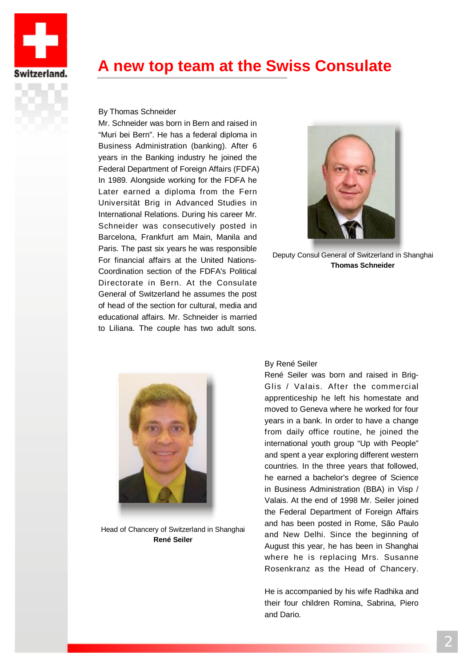

## **A new top team at the Swiss Consulate**

#### By Thomas Schneider

Mr. Schneider was born in Bern and raised in "Muri bei Bern". He has a federal diploma in Business Administration (banking). After 6 years in the Banking industry he joined the Federal Department of Foreign Affairs (FDFA) In 1989. Alongside working for the FDFA he Later earned a diploma from the Fern Universität Brig in Advanced Studies in International Relations. During his career Mr. Schneider was consecutively posted in Barcelona, Frankfurt am Main, Manila and Paris. The past six years he was responsible For financial affairs at the United Nations-Coordination section of the FDFA's Political Directorate in Bern. At the Consulate General of Switzerland he assumes the post of head of the section for cultural, media and educational affairs. Mr. Schneider is married to Liliana. The couple has two adult sons.



Deputy Consul General of Switzerland in Shanghai **Thomas Schneider**



Head of Chancery of Switzerland in Shanghai **René Seiler**

#### By René Seiler

René Seiler was born and raised in Brig-Glis / Valais. After the commercial apprenticeship he left his homestate and moved to Geneva where he worked for four years in a bank. In order to have a change from daily office routine, he joined the international youth group "Up with People" and spent a year exploring different western countries. In the three years that followed, he earned a bachelor's degree of Science in Business Administration (BBA) in Visp / Valais. At the end of 1998 Mr. Seiler joined the Federal Department of Foreign Affairs and has been posted in Rome, São Paulo and New Delhi. Since the beginning of August this year, he has been in Shanghai where he is replacing Mrs. Susanne Rosenkranz as the Head of Chancery.

He is accompanied by his wife Radhika and their four children Romina, Sabrina, Piero and Dario.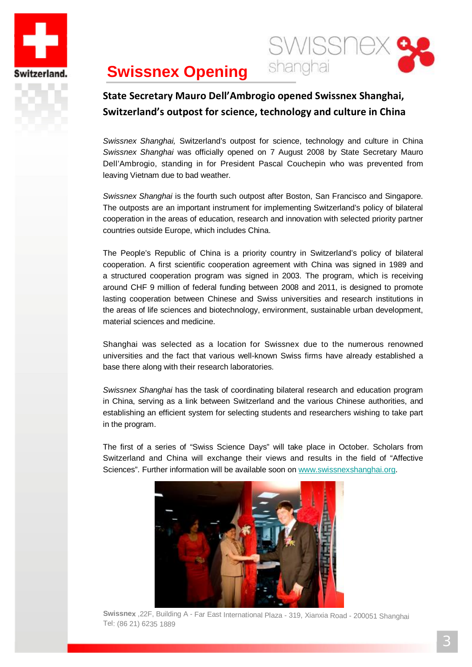





#### **State Secretary Mauro Dell'Ambrogio opened Swissnex Shanghai, Switzerland's outpost for science, technology and culture in China**

*Swissnex Shanghai,* Switzerland's outpost for science, technology and culture in China *Swissnex Shanghai* was officially opened on 7 August 2008 by State Secretary Mauro Dell'Ambrogio, standing in for President Pascal Couchepin who was prevented from leaving Vietnam due to bad weather.

*Swissnex Shanghai* is the fourth such outpost after Boston, San Francisco and Singapore. The outposts are an important instrument for implementing Switzerland's policy of bilateral cooperation in the areas of education, research and innovation with selected priority partner countries outside Europe, which includes China.

The People's Republic of China is a priority country in Switzerland's policy of bilateral cooperation. A first scientific cooperation agreement with China was signed in 1989 and a structured cooperation program was signed in 2003. The program, which is receiving around CHF 9 million of federal funding between 2008 and 2011, is designed to promote lasting cooperation between Chinese and Swiss universities and research institutions in the areas of life sciences and biotechnology, environment, sustainable urban development, material sciences and medicine.

Shanghai was selected as a location for Swissnex due to the numerous renowned universities and the fact that various well-known Swiss firms have already established a base there along with their research laboratories.

*Swissnex Shanghai* has the task of coordinating bilateral research and education program in China, serving as a link between Switzerland and the various Chinese authorities, and establishing an efficient system for selecting students and researchers wishing to take part in the program.

The first of a series of "Swiss Science Days" will take place in October. Scholars from Switzerland and China will exchange their views and results in the field of "Affective Sciences". Further information will be available soon on [www.swissnexshanghai.org.](http://www.swissnexshanghai.org)



**Swissnex** ,22F, Building <sup>A</sup> - Far East International Plaza - 319, Xianxia Road - <sup>200051</sup> Shanghai Tel: (86 21) 6235 1889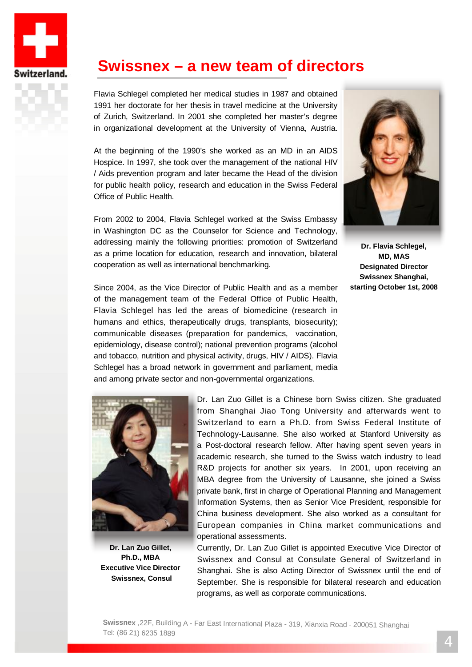

### **Swissnex – a new team of directors**

Flavia Schlegel completed her medical studies in 1987 and obtained 1991 her doctorate for her thesis in travel medicine at the University of Zurich, Switzerland. In 2001 she completed her master's degree in organizational development at the University of Vienna, Austria.

At the beginning of the 1990's she worked as an MD in an AIDS Hospice. In 1997, she took over the management of the national HIV / Aids prevention program and later became the Head of the division for public health policy, research and education in the Swiss Federal Office of Public Health.

From 2002 to 2004, Flavia Schlegel worked at the Swiss Embassy in Washington DC as the Counselor for Science and Technology, addressing mainly the following priorities: promotion of Switzerland as a prime location for education, research and innovation, bilateral cooperation as well as international benchmarking.



**Dr. Flavia Schlegel, MD, MAS Designated Director Swissnex Shanghai, starting October 1st, 2008**

Since 2004, as the Vice Director of Public Health and as a member of the management team of the Federal Office of Public Health, Flavia Schlegel has led the areas of biomedicine (research in humans and ethics, therapeutically drugs, transplants, biosecurity); communicable diseases (preparation for pandemics, vaccination, epidemiology, disease control); national prevention programs (alcohol and tobacco, nutrition and physical activity, drugs, HIV / AIDS). Flavia Schlegel has a broad network in government and parliament, media and among private sector and non-governmental organizations.



**Dr. Lan Zuo Gillet, Ph.D., MBA Executive Vice Director Swissnex, Consul**

Dr. Lan Zuo Gillet is a Chinese born Swiss citizen. She graduated from Shanghai Jiao Tong University and afterwards went to Switzerland to earn a Ph.D. from Swiss Federal Institute of Technology-Lausanne. She also worked at Stanford University as a Post-doctoral research fellow. After having spent seven years in academic research, she turned to the Swiss watch industry to lead R&D projects for another six years. In 2001, upon receiving an MBA degree from the University of Lausanne, she joined a Swiss private bank, first in charge of Operational Planning and Management Information Systems, then as Senior Vice President, responsible for China business development. She also worked as a consultant for European companies in China market communications and operational assessments.

Currently, Dr. Lan Zuo Gillet is appointed Executive Vice Director of Swissnex and Consul at Consulate General of Switzerland in Shanghai. She is also Acting Director of Swissnex until the end of September. She is responsible for bilateral research and education programs, as well as corporate communications.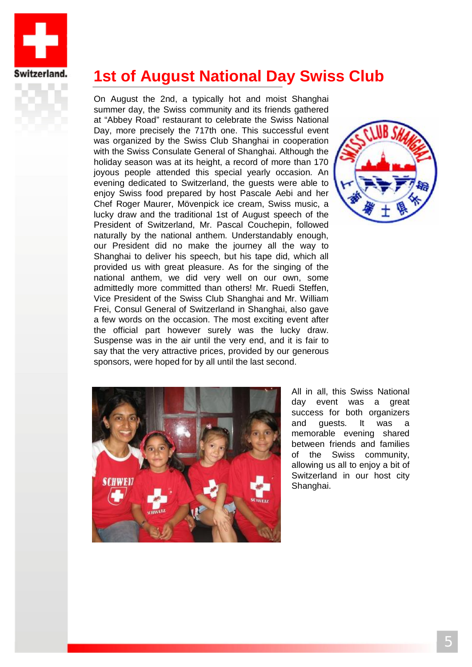

## **1st of August National Day Swiss Club**

On August the 2nd, a typically hot and moist Shanghai summer day, the Swiss community and its friends gathered at "Abbey Road" restaurant to celebrate the Swiss National Day, more precisely the 717th one. This successful event was organized by the Swiss Club Shanghai in cooperation with the Swiss Consulate General of Shanghai. Although the holiday season was at its height, a record of more than 170 joyous people attended this special yearly occasion. An evening dedicated to Switzerland, the guests were able to enjoy Swiss food prepared by host Pascale Aebi and her Chef Roger Maurer, Mövenpick ice cream, Swiss music, a lucky draw and the traditional 1st of August speech of the President of Switzerland, Mr. Pascal Couchepin, followed naturally by the national anthem. Understandably enough, our President did no make the journey all the way to Shanghai to deliver his speech, but his tape did, which all provided us with great pleasure. As for the singing of the national anthem, we did very well on our own, some admittedly more committed than others! Mr. Ruedi Steffen, Vice President of the Swiss Club Shanghai and Mr. William Frei, Consul General of Switzerland in Shanghai, also gave a few words on the occasion. The most exciting event after the official part however surely was the lucky draw. Suspense was in the air until the very end, and it is fair to say that the very attractive prices, provided by our generous sponsors, were hoped for by all until the last second.





All in all, this Swiss National day event was a great success for both organizers and guests. It was a memorable evening shared between friends and families of the Swiss community, allowing us all to enjoy a bit of Switzerland in our host city Shanghai.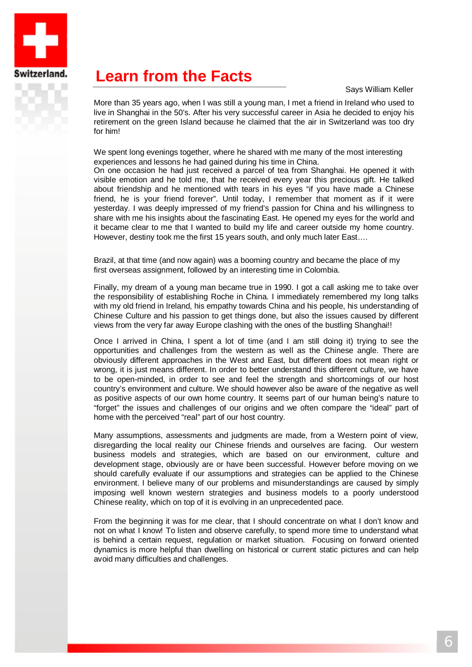

## **Learn from the Facts**

Says William Keller

More than 35 years ago, when I was still a young man, I met a friend in Ireland who used to live in Shanghai in the 50's. After his very successful career in Asia he decided to enjoy his retirement on the green Island because he claimed that the air in Switzerland was too dry for him!

We spent long evenings together, where he shared with me many of the most interesting experiences and lessons he had gained during his time in China.

On one occasion he had just received a parcel of tea from Shanghai. He opened it with visible emotion and he told me, that he received every year this precious gift. He talked about friendship and he mentioned with tears in his eyes "if you have made a Chinese friend, he is your friend forever". Until today, I remember that moment as if it were yesterday. I was deeply impressed of my friend's passion for China and his willingness to share with me his insights about the fascinating East. He opened my eyes for the world and it became clear to me that I wanted to build my life and career outside my home country. However, destiny took me the first 15 years south, and only much later East….

Brazil, at that time (and now again) was a booming country and became the place of my first overseas assignment, followed by an interesting time in Colombia.

Finally, my dream of a young man became true in 1990. I got a call asking me to take over the responsibility of establishing Roche in China. I immediately remembered my long talks with my old friend in Ireland, his empathy towards China and his people, his understanding of Chinese Culture and his passion to get things done, but also the issues caused by different views from the very far away Europe clashing with the ones of the bustling Shanghai!!

Once I arrived in China, I spent a lot of time (and I am still doing it) trying to see the opportunities and challenges from the western as well as the Chinese angle. There are obviously different approaches in the West and East, but different does not mean right or wrong, it is just means different. In order to better understand this different culture, we have to be open-minded, in order to see and feel the strength and shortcomings of our host country's environment and culture. We should however also be aware of the negative as well as positive aspects of our own home country. It seems part of our human being's nature to "forget" the issues and challenges of our origins and we often compare the "ideal" part of home with the perceived "real" part of our host country.

Many assumptions, assessments and judgments are made, from a Western point of view, disregarding the local reality our Chinese friends and ourselves are facing. Our western business models and strategies, which are based on our environment, culture and development stage, obviously are or have been successful. However before moving on we should carefully evaluate if our assumptions and strategies can be applied to the Chinese environment. I believe many of our problems and misunderstandings are caused by simply imposing well known western strategies and business models to a poorly understood Chinese reality, which on top of it is evolving in an unprecedented pace.

From the beginning it was for me clear, that I should concentrate on what I don't know and not on what I know! To listen and observe carefully, to spend more time to understand what is behind a certain request, regulation or market situation. Focusing on forward oriented dynamics is more helpful than dwelling on historical or current static pictures and can help avoid many difficulties and challenges.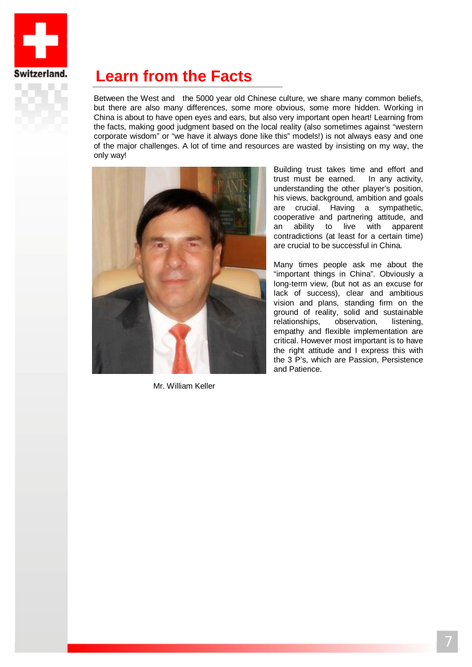

## **Learn from the Facts**

Between the West and the 5000 year old Chinese culture, we share many common beliefs, but there are also many differences, some more obvious, some more hidden. Working in China is about to have open eyes and ears, but also very important open heart! Learning from the facts, making good judgment based on the local reality (also sometimes against "western corporate wisdom" or "we have it always done like this" models!) is not always easy and one of the major challenges. A lot of time and resources are wasted by insisting on my way, the only way!



Mr. William Keller

Building trust takes time and effort and trust must be earned. In any activity, understanding the other player's position, his views, background, ambition and goals are crucial. Having a sympathetic, cooperative and partnering attitude, and an ability to live with apparent contradictions (at least for a certain time) are crucial to be successful in China.

Many times people ask me about the "important things in China". Obviously a long-term view, (but not as an excuse for lack of success), clear and ambitious vision and plans, standing firm on the ground of reality, solid and sustainable relationships, observation, listening, empathy and flexible implementation are critical. However most important is to have the right attitude and I express this with the 3 P's, which are Passion, Persistence and Patience.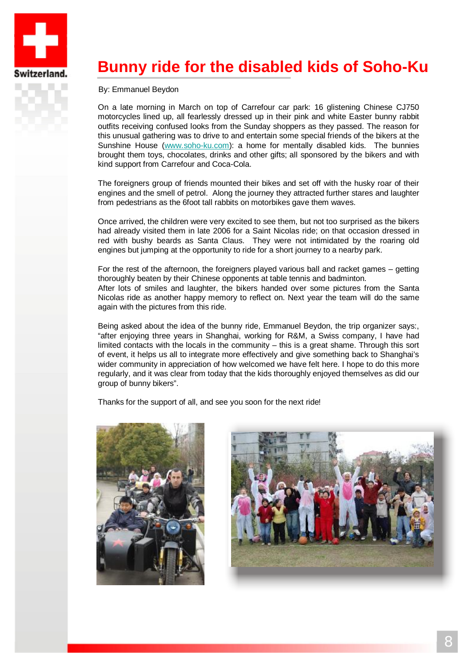

## **Bunny ride for the disabled kids of Soho-Ku**

By: Emmanuel Beydon

On a late morning in March on top of Carrefour car park: 16 glistening Chinese CJ750 motorcycles lined up, all fearlessly dressed up in their pink and white Easter bunny rabbit outfits receiving confused looks from the Sunday shoppers as they passed. The reason for this unusual gathering was to drive to and entertain some special friends of the bikers at the Sunshine House ([www.soho-ku.com](http://www.soho-ku.com)): a home for mentally disabled kids. The bunnies brought them toys, chocolates, drinks and other gifts; all sponsored by the bikers and with kind support from Carrefour and Coca-Cola.

The foreigners group of friends mounted their bikes and set off with the husky roar of their engines and the smell of petrol. Along the journey they attracted further stares and laughter from pedestrians as the 6foot tall rabbits on motorbikes gave them waves.

Once arrived, the children were very excited to see them, but not too surprised as the bikers had already visited them in late 2006 for a Saint Nicolas ride; on that occasion dressed in red with bushy beards as Santa Claus. They were not intimidated by the roaring old engines but jumping at the opportunity to ride for a short journey to a nearby park.

For the rest of the afternoon, the foreigners played various ball and racket games – getting thoroughly beaten by their Chinese opponents at table tennis and badminton. After lots of smiles and laughter, the bikers handed over some pictures from the Santa Nicolas ride as another happy memory to reflect on. Next year the team will do the same again with the pictures from this ride.

Being asked about the idea of the bunny ride, Emmanuel Beydon, the trip organizer says:, "after enjoying three years in Shanghai, working for R&M, a Swiss company, I have had limited contacts with the locals in the community – this is a great shame. Through this sort of event, it helps us all to integrate more effectively and give something back to Shanghai's wider community in appreciation of how welcomed we have felt here. I hope to do this more regularly, and it was clear from today that the kids thoroughly enjoyed themselves as did our group of bunny bikers".

Thanks for the support of all, and see you soon for the next ride!



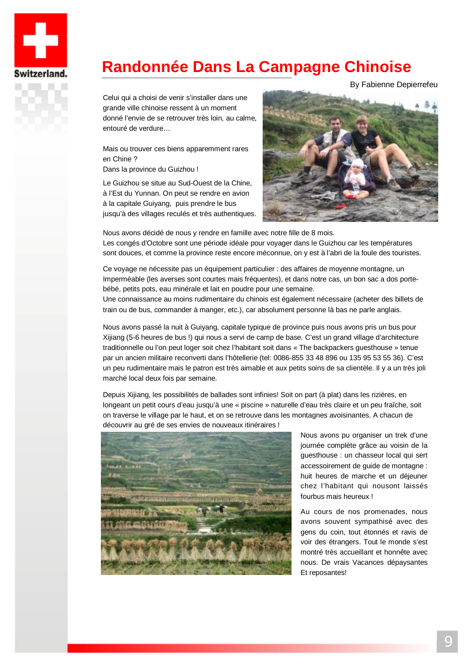

## **Randonnée Dans La Campagne Chinoise**

By Fabienne Depierrefeu

Celui qui a choisi de venir s'installer dans une grande ville chinoise ressent à un moment donné l'envie de se retrouver très loin, au calme, entouré de verdure…

Mais ou trouver ces biens apparemment rares en Chine ?

Dans la province du Guizhou !

Le Guizhou se situe au Sud-Ouest de la Chine, à l'Est du Yunnan. On peut se rendre en avion à la capitale Guiyang, puis prendre le bus jusqu'à des villages reculés et très authentiques.



Nous avons décidé de nous y rendre en famille avec notre fille de 8 mois. Les congés d'Octobre sont une période idéale pour voyager dans le Guizhou car les températures sont douces, et comme la province reste encore méconnue, on y est à l'abri de la foule des touristes.

Ce voyage ne nécessite pas un équipement particulier : des affaires de moyenne montagne, un Imperméable (les averses sont courtes mais fréquentes), et dans notre cas, un bon sac a dos portebébé, petits pots, eau minérale et lait en poudre pour une semaine.

Une connaissance au moins rudimentaire du chinois est également nécessaire (acheter des billets de train ou de bus, commander à manger, etc.), car absolument personne là bas ne parle anglais.

Nous avons passé la nuit à Guiyang, capitale typique de province puis nous avons pris un bus pour Xijiang (5-6 heures de bus !) qui nous a servi de camp de base. C'est un grand village d'architecture traditionnelle ou l'on peut loger soit chez l'habitant soit dans « The backpackers guesthouse » tenue par un ancien militaire reconverti dans l'hôtellerie (tel: 0086-855 33 48 896 ou 135 95 53 55 36). C'est un peu rudimentaire mais le patron est très aimable et aux petits soins de sa clientèle. Il y a un très joli marché local deux fois par semaine.

Depuis Xijiang, les possibilités de ballades sont infinies! Soit on part (à plat) dans les rizières, en longeant un petit cours d'eau jusqu'à une « piscine » naturelle d'eau très claire et un peu fraîche, soit on traverse le village par le haut, et on se retrouve dans les montagnes avoisinantes. A chacun de découvrir au gré de ses envies de nouveaux itinéraires !



Nous avons pu organiser un trek d'une journée complète grâce au voisin de la guesthouse : un chasseur local qui sert accessoirement de guide de montagne : huit heures de marche et un déjeuner chez l'habitant qui nousont laissés fourbus mais heureux !

Au cours de nos promenades, nous avons souvent sympathisé avec des gens du coin, tout étonnés et ravis de voir des étrangers. Tout le monde s'est montré très accueillant et honnête avec nous. De vrais Vacances dépaysantes Et reposantes!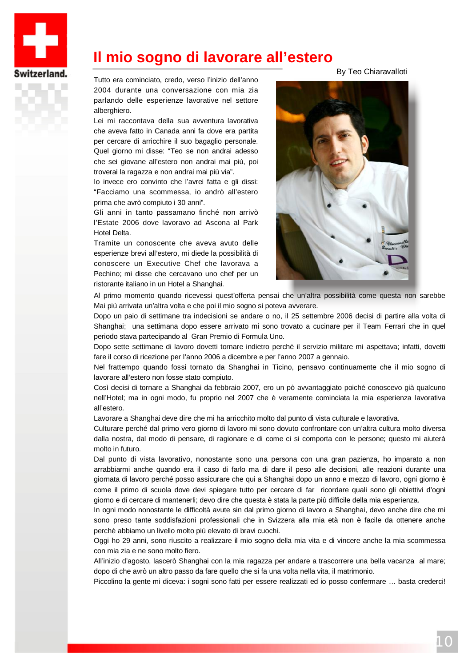

### **Il mio sogno di lavorare all'estero**

Tutto era cominciato, credo, verso l'inizio dell'anno 2004 durante una conversazione con mia zia parlando delle esperienze lavorative nel settore alberghiero.

Lei mi raccontava della sua avventura lavorativa che aveva fatto in Canada anni fa dove era partita per cercare di arricchire il suo bagaglio personale. Quel giorno mi disse: "Teo se non andrai adesso che sei giovane all'estero non andrai mai più, poi troverai la ragazza e non andrai mai più via".

Io invece ero convinto che l'avrei fatta e gli dissi: "Facciamo una scommessa, io andrò all'estero prima che avrò compiuto i 30 anni".

Gli anni in tanto passamano finché non arrivò l'Estate 2006 dove lavoravo ad Ascona al Park Hotel Delta.

Tramite un conoscente che aveva avuto delle esperienze brevi all'estero, mi diede la possibilità di conoscere un Executive Chef che lavorava a Pechino; mi disse che cercavano uno chef per un ristorante italiano in un Hotel a Shanghai.

By Teo Chiaravalloti



Al primo momento quando ricevessi quest'offerta pensai che un'altra possibilità come questa non sarebbe Mai più arrivata un'altra volta e che poi il mio sogno si poteva avverare.

Dopo un paio di settimane tra indecisioni se andare o no, il 25 settembre 2006 decisi di partire alla volta di Shanghai; una settimana dopo essere arrivato mi sono trovato a cucinare per il Team Ferrari che in quel periodo stava partecipando al Gran Premio di Formula Uno.

Dopo sette settimane di lavoro dovetti tornare indietro perché il servizio militare mi aspettava; infatti, dovetti fare il corso di ricezione per l'anno 2006 a dicembre e per l'anno 2007 a gennaio.

Nel frattempo quando fossi tornato da Shanghai in Ticino, pensavo continuamente che il mio sogno di lavorare all'estero non fosse stato compiuto.

Così decisi di tornare a Shanghai da febbraio 2007, ero un pò avvantaggiato poiché conoscevo già qualcuno nell'Hotel; ma in ogni modo, fu proprio nel 2007 che è veramente cominciata la mia esperienza lavorativa all'estero.

Lavorare a Shanghai deve dire che mi ha arricchito molto dal punto di vista culturale e lavorativa.

Culturare perché dal primo vero giorno di lavoro mi sono dovuto confrontare con un'altra cultura molto diversa dalla nostra, dal modo di pensare, di ragionare e di come ci si comporta con le persone; questo mi aiuterà molto in futuro.

Dal punto di vista lavorativo, nonostante sono una persona con una gran pazienza, ho imparato a non arrabbiarmi anche quando era il caso di farlo ma di dare il peso alle decisioni, alle reazioni durante una giornata di lavoro perché posso assicurare che qui a Shanghai dopo un anno e mezzo di lavoro, ogni giorno è come il primo di scuola dove devi spiegare tutto per cercare di far ricordare quali sono gli obiettivi d'ogni giorno e di cercare di mantenerli; devo dire che questa è stata la parte più difficile della mia esperienza.

In ogni modo nonostante le difficoltà avute sin dal primo giorno di lavoro a Shanghai, devo anche dire che mi sono preso tante soddisfazioni professionali che in Svizzera alla mia età non è facile da ottenere anche perché abbiamo un livello molto più elevato di bravi cuochi.

Oggi ho 29 anni, sono riuscito a realizzare il mio sogno della mia vita e di vincere anche la mia scommessa con mia zia e ne sono molto fiero.

All'inizio d'agosto, lascerò Shanghai con la mia ragazza per andare a trascorrere una bella vacanza al mare; dopo di che avrò un altro passo da fare quello che si fa una volta nella vita, il matrimonio.

Piccolino la gente mi diceva: i sogni sono fatti per essere realizzati ed io posso confermare … basta crederci!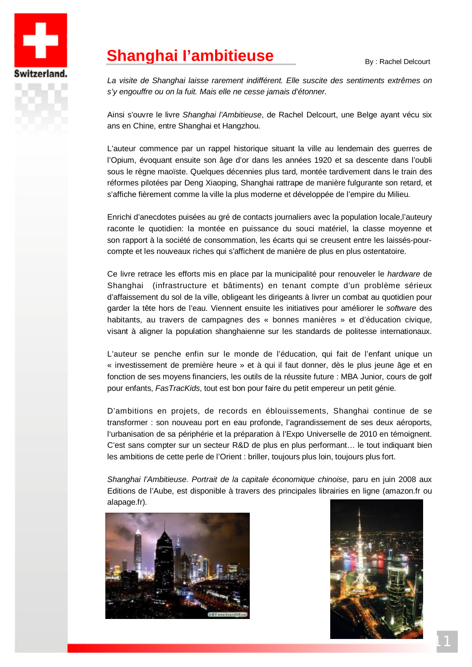

## **Shanghai I'ambitieuse**

By : Rachel Delcourt

*La visite de Shanghai laisse rarement indifférent. Elle suscite des sentiments extrêmes on s'y engouffre ou on la fuit. Mais elle ne cesse jamais d'étonner.* 

Ainsi s'ouvre le livre *Shanghai l'Ambitieuse*, de Rachel Delcourt, une Belge ayant vécu six ans en Chine, entre Shanghai et Hangzhou.

L'auteur commence par un rappel historique situant la ville au lendemain des guerres de l'Opium, évoquant ensuite son âge d'or dans les années 1920 et sa descente dans l'oubli sous le règne maoïste. Quelques décennies plus tard, montée tardivement dans le train des réformes pilotées par Deng Xiaoping, Shanghai rattrape de manière fulgurante son retard, et s'affiche fièrement comme la ville la plus moderne et développée de l'empire du Milieu.

Enrichi d'anecdotes puisées au gré de contacts journaliers avec la population locale,l'auteury raconte le quotidien: la montée en puissance du souci matériel, la classe moyenne et son rapport à la société de consommation, les écarts qui se creusent entre les laissés-pourcompte et les nouveaux riches qui s'affichent de manière de plus en plus ostentatoire.

Ce livre retrace les efforts mis en place par la municipalité pour renouveler le *hardware* de Shanghai (infrastructure et bâtiments) en tenant compte d'un problème sérieux d'affaissement du sol de la ville, obligeant les dirigeants à livrer un combat au quotidien pour garder la tête hors de l'eau. Viennent ensuite les initiatives pour améliorer le *software* des habitants, au travers de campagnes des « bonnes manières » et d'éducation civique, visant à aligner la population shanghaienne sur les standards de politesse internationaux.

L'auteur se penche enfin sur le monde de l'éducation, qui fait de l'enfant unique un « investissement de première heure » et à qui il faut donner, dès le plus jeune âge et en fonction de ses moyens financiers, les outils de la réussite future : MBA Junior, cours de golf pour enfants, *FasTracKids*, tout est bon pour faire du petit empereur un petit génie.

D'ambitions en projets, de records en éblouissements, Shanghai continue de se transformer : son nouveau port en eau profonde, l'agrandissement de ses deux aéroports, l'urbanisation de sa périphérie et la préparation à l'Expo Universelle de 2010 en témoignent. C'est sans compter sur un secteur R&D de plus en plus performant… le tout indiquant bien les ambitions de cette perle de l'Orient : briller, toujours plus loin, toujours plus fort.

*Shanghai l'Ambitieuse. Portrait de la capitale économique chinoise*, paru en juin 2008 aux Editions de l'Aube, est disponible à travers des principales librairies en ligne (amazon.fr ou alapage.fr).



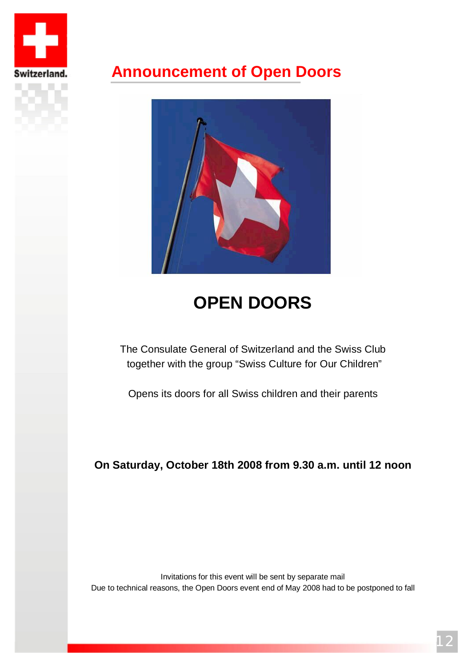

## **Announcement of Open Doors**



# **OPEN DOORS**

The Consulate General of Switzerland and the Swiss Club together with the group "Swiss Culture for Our Children"

Opens its doors for all Swiss children and their parents

**On Saturday, October 18th 2008 from 9.30 a.m. until 12 noon**

Invitations for this event will be sent by separate mail Due to technical reasons, the Open Doors event end of May 2008 had to be postponed to fall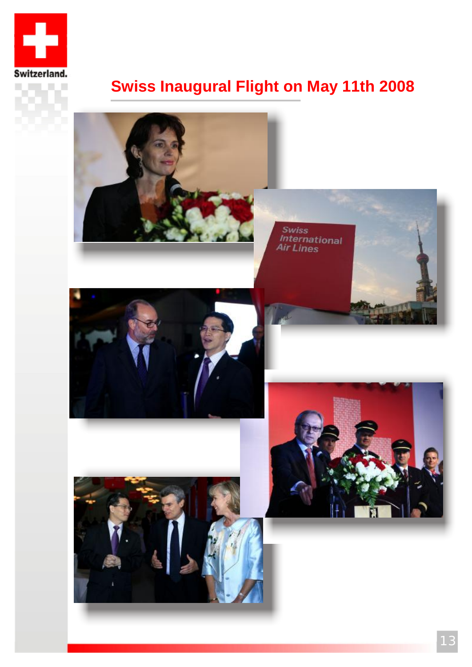

# **Swiss Inaugural Flight on May 11th 2008**

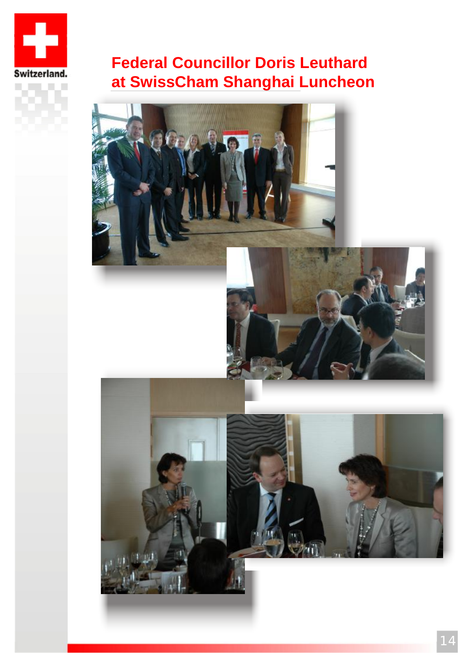

# **Federal Councillor Doris Leuthard at SwissCham Shanghai Luncheon**

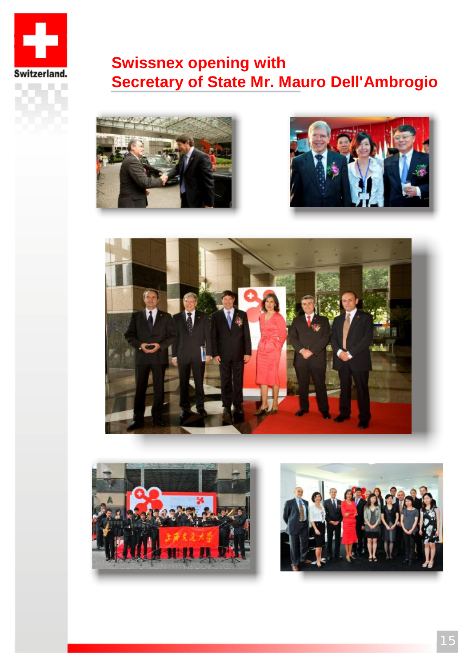

# **Swissnex opening with Secretary of State Mr. Mauro Dell'Ambrogio**